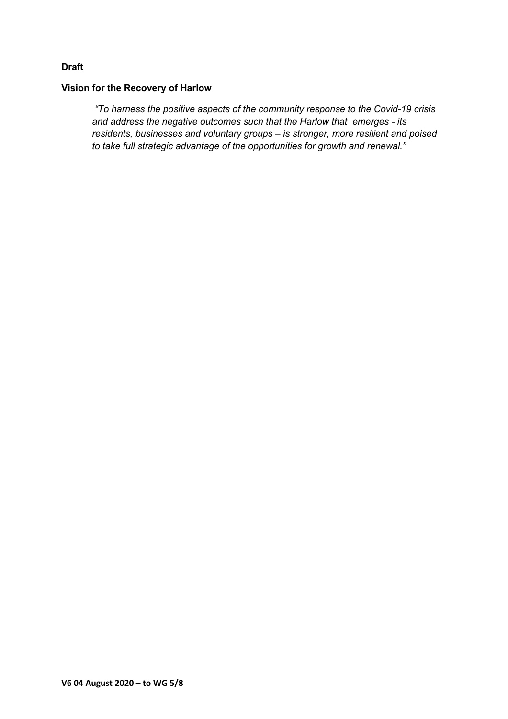# **Draft**

### **Vision for the Recovery of Harlow**

*"To harness the positive aspects of the community response to the Covid-19 crisis and address the negative outcomes such that the Harlow that emerges - its residents, businesses and voluntary groups – is stronger, more resilient and poised to take full strategic advantage of the opportunities for growth and renewal."*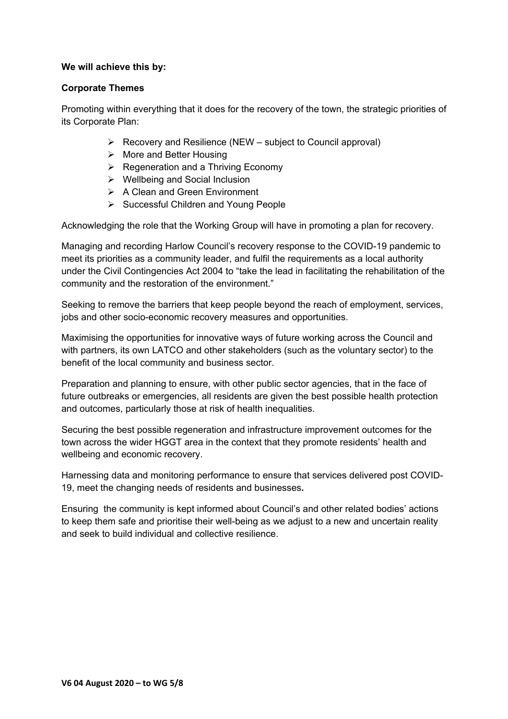## **We will achieve this by:**

## **Corporate Themes**

Promoting within everything that it does for the recovery of the town, the strategic priorities of its Corporate Plan:

- $\triangleright$  Recovery and Resilience (NEW subject to Council approval)
- $\triangleright$  More and Better Housing
- $\triangleright$  Regeneration and a Thriving Economy
- Wellbeing and Social Inclusion
- $\triangleright$  A Clean and Green Environment
- $\triangleright$  Successful Children and Young People

Acknowledging the role that the Working Group will have in promoting a plan for recovery.

Managing and recording Harlow Council's recovery response to the COVID-19 pandemic to meet its priorities as a community leader, and fulfil the requirements as a local authority under the Civil Contingencies Act 2004 to "take the lead in facilitating the rehabilitation of the community and the restoration of the environment."

Seeking to remove the barriers that keep people beyond the reach of employment, services, jobs and other socio-economic recovery measures and opportunities.

Maximising the opportunities for innovative ways of future working across the Council and with partners, its own LATCO and other stakeholders (such as the voluntary sector) to the benefit of the local community and business sector.

Preparation and planning to ensure, with other public sector agencies, that in the face of future outbreaks or emergencies, all residents are given the best possible health protection and outcomes, particularly those at risk of health inequalities.

Securing the best possible regeneration and infrastructure improvement outcomes for the town across the wider HGGT area in the context that they promote residents' health and wellbeing and economic recovery.

Harnessing data and monitoring performance to ensure that services delivered post COVID-19, meet the changing needs of residents and businesses**.**

Ensuring the community is kept informed about Council's and other related bodies' actions to keep them safe and prioritise their well-being as we adjust to a new and uncertain reality and seek to build individual and collective resilience.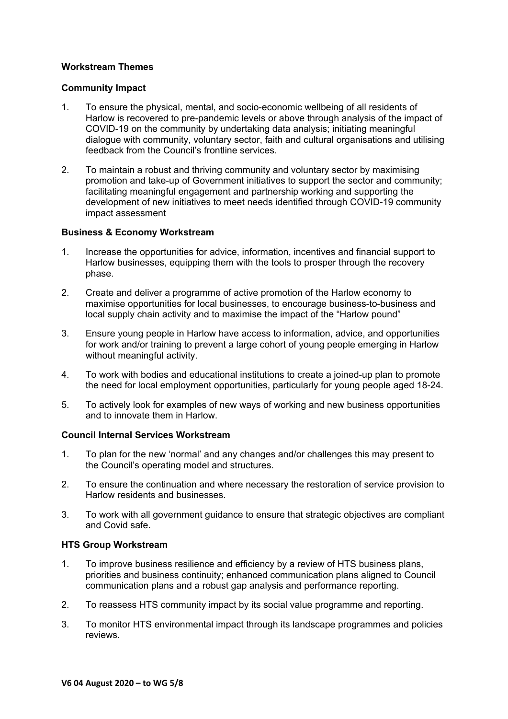## **Workstream Themes**

#### **Community Impact**

- 1. To ensure the physical, mental, and socio-economic wellbeing of all residents of Harlow is recovered to pre-pandemic levels or above through analysis of the impact of COVID-19 on the community by undertaking data analysis; initiating meaningful dialogue with community, voluntary sector, faith and cultural organisations and utilising feedback from the Council's frontline services.
- 2. To maintain a robust and thriving community and voluntary sector by maximising promotion and take-up of Government initiatives to support the sector and community; facilitating meaningful engagement and partnership working and supporting the development of new initiatives to meet needs identified through COVID-19 community impact assessment

#### **Business & Economy Workstream**

- 1. Increase the opportunities for advice, information, incentives and financial support to Harlow businesses, equipping them with the tools to prosper through the recovery phase.
- 2. Create and deliver a programme of active promotion of the Harlow economy to maximise opportunities for local businesses, to encourage business-to-business and local supply chain activity and to maximise the impact of the "Harlow pound"
- 3. Ensure young people in Harlow have access to information, advice, and opportunities for work and/or training to prevent a large cohort of young people emerging in Harlow without meaningful activity.
- 4. To work with bodies and educational institutions to create a joined-up plan to promote the need for local employment opportunities, particularly for young people aged 18-24.
- 5. To actively look for examples of new ways of working and new business opportunities and to innovate them in Harlow.

## **Council Internal Services Workstream**

- 1. To plan for the new 'normal' and any changes and/or challenges this may present to the Council's operating model and structures.
- 2. To ensure the continuation and where necessary the restoration of service provision to Harlow residents and businesses.
- 3. To work with all government guidance to ensure that strategic objectives are compliant and Covid safe.

#### **HTS Group Workstream**

- 1. To improve business resilience and efficiency by a review of HTS business plans, priorities and business continuity; enhanced communication plans aligned to Council communication plans and a robust gap analysis and performance reporting.
- 2. To reassess HTS community impact by its social value programme and reporting.
- 3. To monitor HTS environmental impact through its landscape programmes and policies reviews.